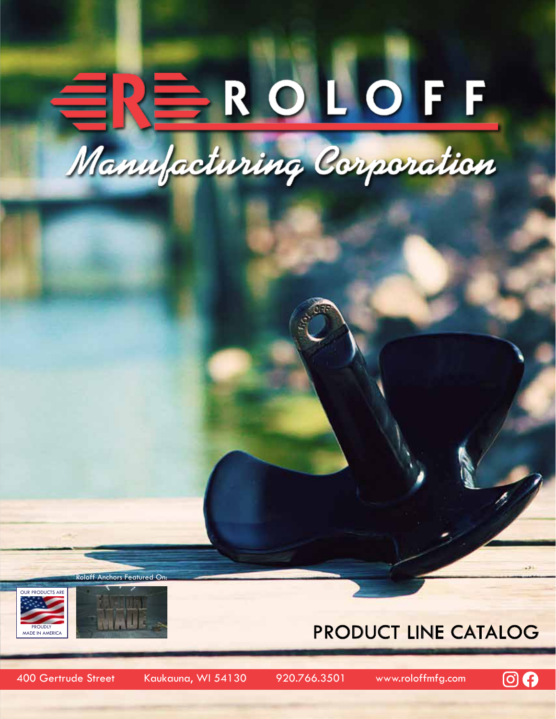# ERS ROLOFF Manufacturing Corporation

Roloff Anchors Featured On:





### Product Line Catalog

400 Gertrude Street Kaukauna, WI 54130 920.766.3501 www.roloffmfg.com

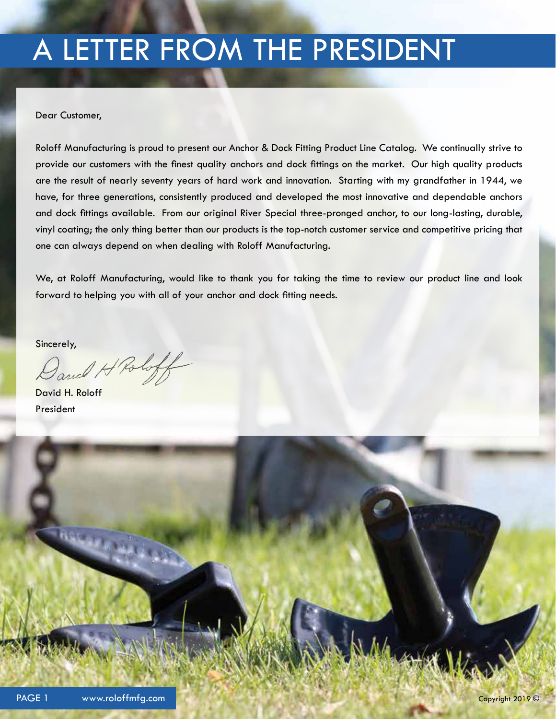# A LETTER FROM THE PRESIDENT

Dear Customer,

Roloff Manufacturing is proud to present our Anchor & Dock Fitting Product Line Catalog. We continually strive to provide our customers with the finest quality anchors and dock fittings on the market. Our high quality products are the result of nearly seventy years of hard work and innovation. Starting with my grandfather in 1944, we have, for three generations, consistently produced and developed the most innovative and dependable anchors and dock fittings available. From our original River Special three-pronged anchor, to our long-lasting, durable, vinyl coating; the only thing better than our products is the top-notch customer service and competitive pricing that one can always depend on when dealing with Roloff Manufacturing.

We, at Roloff Manufacturing, would like to thank you for taking the time to review our product line and look forward to helping you with all of your anchor and dock fitting needs.

Sincerely,

David H Roloff

David H. Roloff President

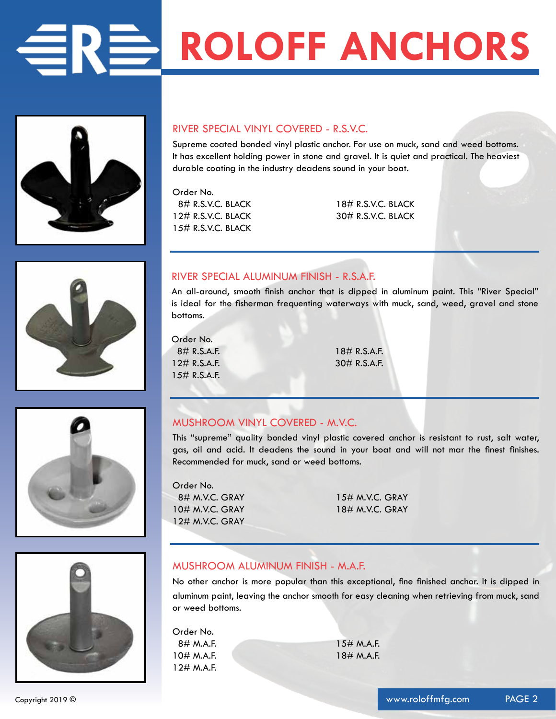# **ROLOFF ANCHORS**



#### RIVER SPECIAL VINYL COVERED - R.S.V.C.

Supreme coated bonded vinyl plastic anchor. For use on muck, sand and weed bottoms. It has excellent holding power in stone and gravel. It is quiet and practical. The heaviest durable coating in the industry deadens sound in your boat.

Order No. 8# R.S.V.C. BLACK 18# R.S.V.C. BLACK 12# R.S.V.C. BLACK 30# R.S.V.C. BLACK 15# R.S.V.C. BLACK



#### RIVER SPECIAL ALUMINUM FINISH - R.S.A.F.

An all-around, smooth finish anchor that is dipped in aluminum paint. This "River Special" is ideal for the fisherman frequenting waterways with muck, sand, weed, gravel and stone bottoms.

Order No. 8# R.S.A.F. 18# R.S.A.F. 12# R.S.A.F. 30# R.S.A.F. 15# R.S.A.F.





#### MUSHROOM VINYL COVERED - M.V.C.

This "supreme" quality bonded vinyl plastic covered anchor is resistant to rust, salt water, gas, oil and acid. It deadens the sound in your boat and will not mar the finest finishes. Recommended for muck, sand or weed bottoms.

Order No. 8# M.V.C. GRAY 15# M.V.C. GRAY 10# M.V.C. GRAY 18# M.V.C. GRAY 12# M.V.C. GRAY

#### MUSHROOM ALUMINUM FINISH - M.A.F.

No other anchor is more popular than this exceptional, fine finished anchor. It is dipped in aluminum paint, leaving the anchor smooth for easy cleaning when retrieving from muck, sand or weed bottoms.

Order No. 8# M.A.F. 15# M.A.F. 10# M.A.F. 18# M.A.F. 12# M.A.F.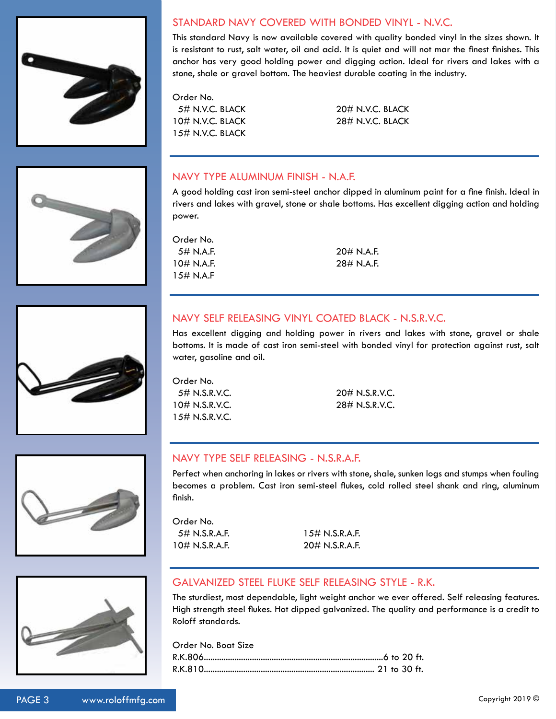

#### STANDARD NAVY COVERED WITH BONDED VINYL - N.V.C.

This standard Navy is now available covered with quality bonded vinyl in the sizes shown. It is resistant to rust, salt water, oil and acid. It is quiet and will not mar the finest finishes. This anchor has very good holding power and digging action. Ideal for rivers and lakes with a stone, shale or gravel bottom. The heaviest durable coating in the industry.

Order No. 10# N.V.C. BLACK 28# N.V.C. BLACK 15# N.V.C. BLACK

5# N.V.C. BLACK 20# N.V.C. BLACK

#### NAVY TYPE ALUMINUM FINISH - N.A.F.

A good holding cast iron semi-steel anchor dipped in aluminum paint for a fine finish. Ideal in rivers and lakes with gravel, stone or shale bottoms. Has excellent digging action and holding power.

Order No. 5# N.A.F. 20# N.A.F. 10# N.A.F. 28# N.A.F. 15# N.A.F

#### NAVY SELF RELEASING VINYL COATED BLACK - N.S.R.V.C.

Has excellent digging and holding power in rivers and lakes with stone, gravel or shale bottoms. It is made of cast iron semi-steel with bonded vinyl for protection against rust, salt water, gasoline and oil.

Order No. 5# N.S.R.V.C. 20# N.S.R.V.C. 10# N.S.R.V.C. 28# N.S.R.V.C. 15# N.S.R.V.C.

#### NAVY TYPE SELF RELEASING - N.S.R.A.F.

Perfect when anchoring in lakes or rivers with stone, shale, sunken logs and stumps when fouling becomes a problem. Cast iron semi-steel flukes, cold rolled steel shank and ring, aluminum finish.

Order No. 5# N.S.R.A.F. 15# N.S.R.A.F. 10# N.S.R.A.F. 20# N.S.R.A.F.

#### GALVANIZED STEEL FLUKE SELF RELEASING STYLE - R.K.

The sturdiest, most dependable, light weight anchor we ever offered. Self releasing features. High strength steel flukes. Hot dipped galvanized. The quality and performance is a credit to Roloff standards.

Order No. Boat Size R.K.806..................................................................................6 to 20 ft. R.K.810.............................................................................. 21 to 30 ft.







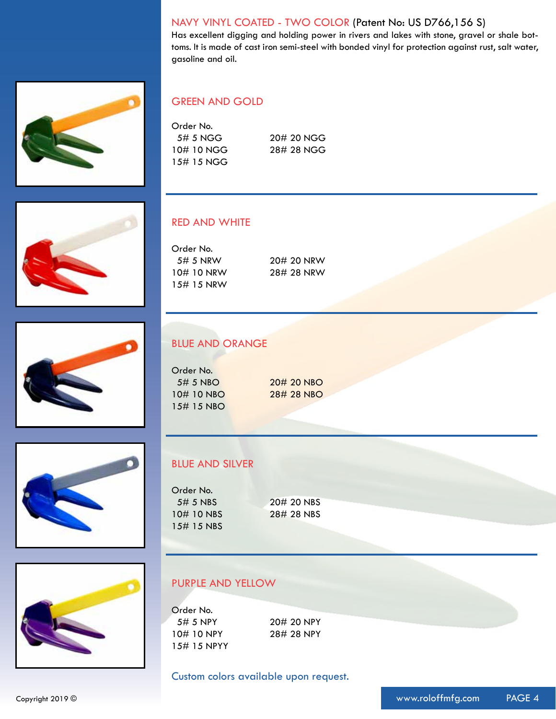#### NAVY VINYL COATED - TWO COLOR (Patent No: US D766,156 S)

Has excellent digging and holding power in rivers and lakes with stone, gravel or shale bottoms. It is made of cast iron semi-steel with bonded vinyl for protection against rust, salt water, gasoline and oil.



#### GREEN AND GOLD

| Order No.    |            |
|--------------|------------|
| 5# 5 NGG     | 20# 20 NGG |
| 10#10 NGG    | 28# 28 NGG |
| $15#$ 15 NGG |            |









#### RED AND WHITE

Order No. 5# 5 NRW 20# 20 NRW 10# 10 NRW 28# 28 NRW 15# 15 NRW

#### BLUE AND ORANGE

Order No. 5# 5 NBO 20# 20 NBO 10# 10 NBO 28# 28 NBO 15# 15 NBO

#### BLUE AND SILVER

| Order No.   |            |
|-------------|------------|
| $5\#$ 5 NBS | 20# 20 NBS |
| 10#10 NBS   | 28# 28 NBS |
| 15# 15 NBS  |            |

#### PURPLE AND YELLOW

Order No. 5# 5 NPY 20# 20 NPY 10# 10 NPY 28# 28 NPY 15# 15 NPYY

Custom colors available upon request.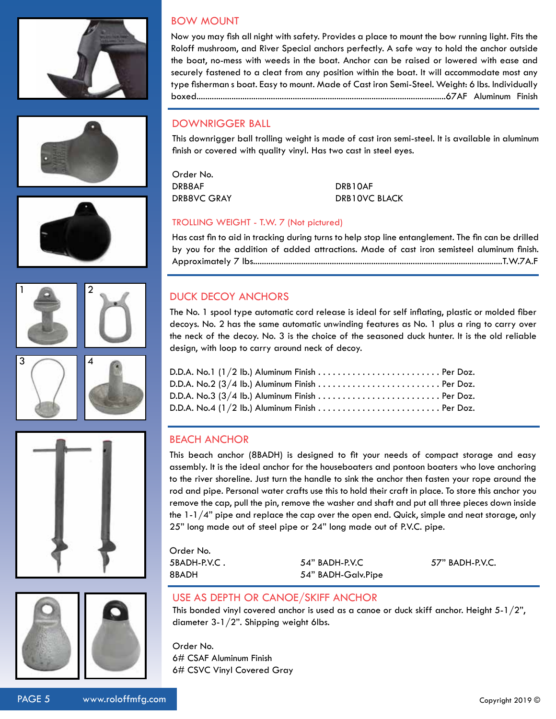





Now you may fish all night with safety. Provides a place to mount the bow running light. Fits the Roloff mushroom, and River Special anchors perfectly. A safe way to hold the anchor outside the boat, no-mess with weeds in the boat. Anchor can be raised or lowered with ease and securely fastened to a cleat from any position within the boat. It will accommodate most any type fisherman s boat. Easy to mount. Made of Cast iron Semi-Steel. Weight: 6 lbs. Individually boxed..................................................................................................................67AF Aluminum Finish

#### DOWNRIGGER BALL

BOW MOUNT

This downrigger ball trolling weight is made of cast iron semi-steel. It is available in aluminum finish or covered with quality vinyl. Has two cast in steel eyes.

Order No. DRB8AF DRB10AF

DRB8VC GRAY DRB10VC BLACK

#### TROLLING WEIGHT - T.W. 7 (Not pictured)

Has cast fin to aid in tracking during turns to help stop line entanglement. The fin can be drilled by you for the addition of added attractions. Made of cast iron semisteel aluminum finish. Approximately 7 lbs..................................................................................................................T.W.7A.F

#### DUCK DECOY ANCHORS

The No. 1 spool type automatic cord release is ideal for self inflating, plastic or molded fiber decoys. No. 2 has the same automatic unwinding features as No. 1 plus a ring to carry over the neck of the decoy. No. 3 is the choice of the seasoned duck hunter. It is the old reliable design, with loop to carry around neck of decoy.

#### BEACH ANCHOR

This beach anchor (8BADH) is designed to fit your needs of compact storage and easy assembly. It is the ideal anchor for the houseboaters and pontoon boaters who love anchoring to the river shoreline. Just turn the handle to sink the anchor then fasten your rope around the rod and pipe. Personal water crafts use this to hold their craft in place. To store this anchor you remove the cap, pull the pin, remove the washer and shaft and put all three pieces down inside the  $1-1/4$ " pipe and replace the cap over the open end. Quick, simple and neat storage, only 25" long made out of steel pipe or 24" long made out of P.V.C. pipe.

Order No. 5BADH-P.V.C . 54" BADH-P.V.C 57" BADH-P.V.C. 8BADH 54" BADH-Galv.Pipe

#### USE AS DEPTH OR CANOE/SKIFF ANCHOR

This bonded vinyl covered anchor is used as a canoe or duck skiff anchor. Height  $5-1/2$ ", diameter 3-1/2". Shipping weight 6lbs.

Order No. 6# CSAF Aluminum Finish 6# CSVC Vinyl Covered Gray









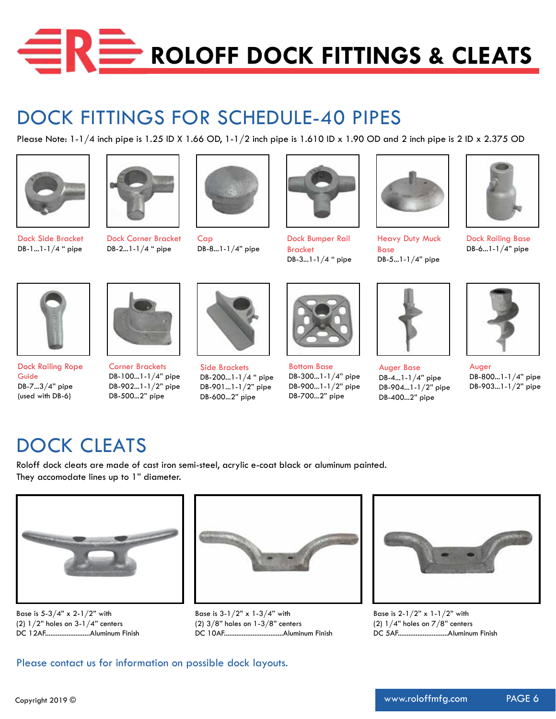

## DOCK FITTINGS FOR SCHEDULE-40 PIPES

Please Note:  $1-1/4$  inch pipe is  $1.25$  ID X  $1.66$  OD,  $1-1/2$  inch pipe is  $1.610$  ID x  $1.90$  OD and 2 inch pipe is  $2$  ID x  $2.375$  OD





Dock Side Bracket DB-1...1-1/4 " pipe



Dock Corner Bracket DB-2...1-1/4 " pipe



Cap DB-8...1-1/4" pipe



Dock Bumper Rail Bracket DB-3...1-1/4 " pipe



Heavy Duty Muck Base DB-5...1-1/4" pipe



Dock Railing Base DB-6...1-1/4" pipe



Dock Railing Rope Guide DB-7...3/4" pipe (used with DB-6)



Corner Brackets DB-100...1-1/4" pipe DB-902...1-1/2" pipe DB-500...2" pipe



Side Brackets DB-200...1-1/4 " pipe DB-901...1-1/2" pipe DB-600...2" pipe



Bottom Base DB-300...1-1/4" pipe DB-900...1-1/2" pipe DB-700...2" pipe



Auger Base DB-4...1-1/4" pipe DB-904...1-1/2" pipe DB-400...2" pipe



Auger DB-800...1-1/4" pipe DB-903...1-1/2" pipe

## DOCK CLEATS

Roloff dock cleats are made of cast iron semi-steel, acrylic e-coat black or aluminum painted. They accomodate lines up to 1" diameter.



Base is  $5-3/4$ " x 2-1/2" with (2) 1/2" holes on 3-1/4" centers DC 12AF.........................Aluminum Finish



Base is  $3-1/2$ " x  $1-3/4$ " with (2) 3/8" holes on 1-3/8" centers DC 10AF.................................Aluminum Finish



Base is 2-1/2" x 1-1/2" with (2)  $1/4$ " holes on  $7/8$ " centers DC 5AF............................Aluminum Finish

Please contact us for information on possible dock layouts.